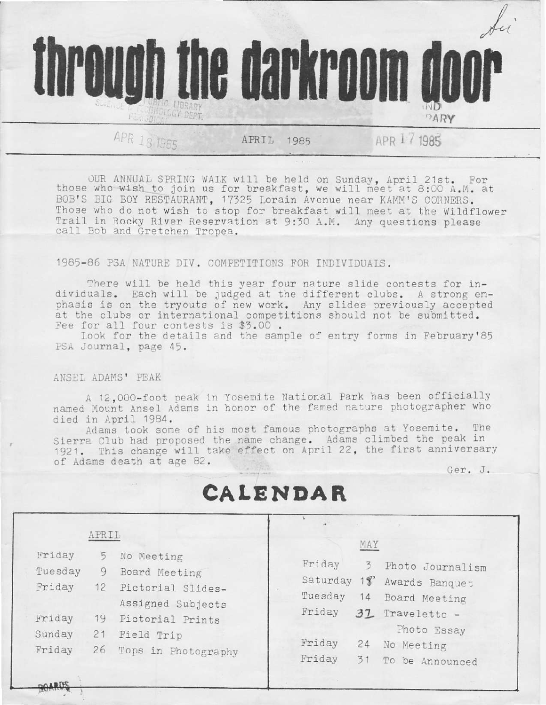

OUR ANNUAL SPRING WALK will be held on Sunday, April 21st. For those who wish to join us for breakfast, we will meet at 8:00 A.M. at BOB'S BIG BOY RESTAURANT, 17325 Lorain Avenue near KAMM'S CORNERS. Those who do not wish to stop for breakfast will meet at the Wildflower Trail in Rocky River Reservation at 9:30 A.M. Any questions please call Bob and Gretchen Tropea.

## 1985-86 PSA NATURE DIV. COMPETITIONS FOR INDIVIDUALS.

There will be held this year four nature slide contests for individuals. Each will be judged at the different clubs. A strong emphasis is on the tryouts of new work. Any slides previously accepted at the clubs or international competitions should not be submitted. Fee for all four contests is \$3.00.

Look for the details and the sample of entry forms in February'85 PSA Journal, page 45.

## ANSEL ADAMS' PEAK

A 12,000-foot peak in Yosemite National Park has been officially named Mount Ansel Adams in honor of the famed nature photographer who died in April 1984.

Adams took some of his most famous photographs at Yosemite. The Sierra Club had proposed the name change. Adams climbed the peak in 1921. This change will take effect on April 22, the first anniversary of Adams death at age 82.

Ger. J.

## CALENDAR

|                             | APRIL          |                                                                       | MAY                                                                                                       |  |
|-----------------------------|----------------|-----------------------------------------------------------------------|-----------------------------------------------------------------------------------------------------------|--|
| Friday<br>Tuesday<br>Friday | 5<br>9<br>12   | No Meeting<br>Board Meeting<br>Pictorial Slides-<br>Assigned Subjects | Friday<br>3<br>Photo Journalism<br>Saturday 18<br>Awards Banquet<br>Tuesday<br>14<br>Board Meeting        |  |
| Friday<br>Sunday<br>Friday  | 19<br>21<br>26 | Pictorial Prints<br>Field Trip<br>Tops in Photography                 | Friday<br>37 Travelette -<br>Photo Essay<br>Friday<br>24<br>No Meeting<br>Friday<br>31<br>To be Announced |  |